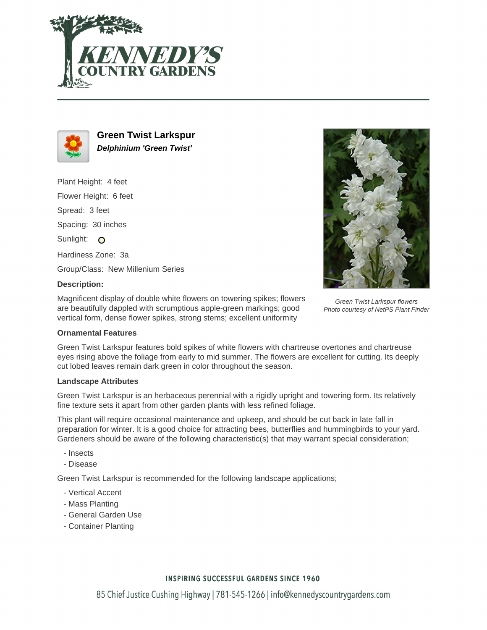



**Green Twist Larkspur Delphinium 'Green Twist'**

Plant Height: 4 feet Flower Height: 6 feet Spread: 3 feet Spacing: 30 inches Sunlight: O Hardiness Zone: 3a Group/Class: New Millenium Series **Description:**



# Green Twist Larkspur flowers

Magnificent display of double white flowers on towering spikes; flowers are beautifully dappled with scrumptious apple-green markings; good vertical form, dense flower spikes, strong stems; excellent uniformity

# Photo courtesy of NetPS Plant Finder

#### **Ornamental Features**

Green Twist Larkspur features bold spikes of white flowers with chartreuse overtones and chartreuse eyes rising above the foliage from early to mid summer. The flowers are excellent for cutting. Its deeply cut lobed leaves remain dark green in color throughout the season.

#### **Landscape Attributes**

Green Twist Larkspur is an herbaceous perennial with a rigidly upright and towering form. Its relatively fine texture sets it apart from other garden plants with less refined foliage.

This plant will require occasional maintenance and upkeep, and should be cut back in late fall in preparation for winter. It is a good choice for attracting bees, butterflies and hummingbirds to your yard. Gardeners should be aware of the following characteristic(s) that may warrant special consideration;

- Insects
- Disease

Green Twist Larkspur is recommended for the following landscape applications;

- Vertical Accent
- Mass Planting
- General Garden Use
- Container Planting

## **INSPIRING SUCCESSFUL GARDENS SINCE 1960**